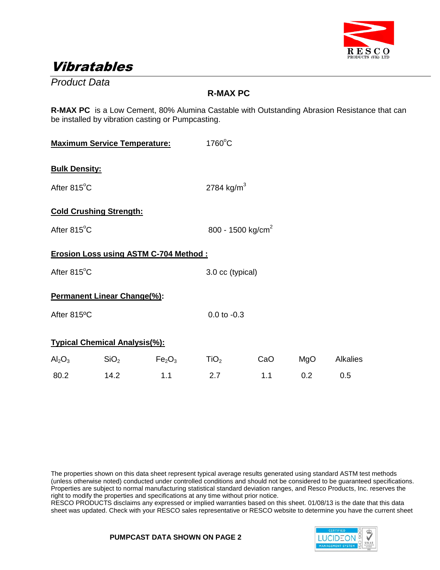

## Vibratables

*Product Data*

### **R-MAX PC**

**R-MAX PC** is a Low Cement, 80% Alumina Castable with Outstanding Abrasion Resistance that can be installed by vibration casting or Pumpcasting.

| <b>Maximum Service Temperature:</b> |                                      |                                              | $1760^{\circ}$ C       |                               |     |                 |  |
|-------------------------------------|--------------------------------------|----------------------------------------------|------------------------|-------------------------------|-----|-----------------|--|
| <b>Bulk Density:</b>                |                                      |                                              |                        |                               |     |                 |  |
| After 815°C                         |                                      |                                              | 2784 kg/m <sup>3</sup> |                               |     |                 |  |
|                                     | <b>Cold Crushing Strength:</b>       |                                              |                        |                               |     |                 |  |
| After 815°C                         |                                      |                                              |                        | 800 - 1500 kg/cm <sup>2</sup> |     |                 |  |
|                                     |                                      | <b>Erosion Loss using ASTM C-704 Method:</b> |                        |                               |     |                 |  |
| After 815°C                         |                                      |                                              |                        | 3.0 cc (typical)              |     |                 |  |
|                                     | <b>Permanent Linear Change(%):</b>   |                                              |                        |                               |     |                 |  |
| After 815°C                         |                                      |                                              | $0.0$ to $-0.3$        |                               |     |                 |  |
|                                     | <b>Typical Chemical Analysis(%):</b> |                                              |                        |                               |     |                 |  |
| $\text{Al}_2\text{O}_3$             | SiO <sub>2</sub>                     | Fe <sub>2</sub> O <sub>3</sub>               | TiO <sub>2</sub>       | CaO                           | MgO | <b>Alkalies</b> |  |
| 80.2                                | 14.2                                 | 1.1                                          | 2.7                    | 1.1                           | 0.2 | 0.5             |  |

The properties shown on this data sheet represent typical average results generated using standard ASTM test methods (unless otherwise noted) conducted under controlled conditions and should not be considered to be guaranteed specifications. Properties are subject to normal manufacturing statistical standard deviation ranges, and Resco Products, Inc. reserves the right to modify the properties and specifications at any time without prior notice.

RESCO PRODUCTS disclaims any expressed or implied warranties based on this sheet. 01/08/13 is the date that this data sheet was updated. Check with your RESCO sales representative or RESCO website to determine you have the current sheet